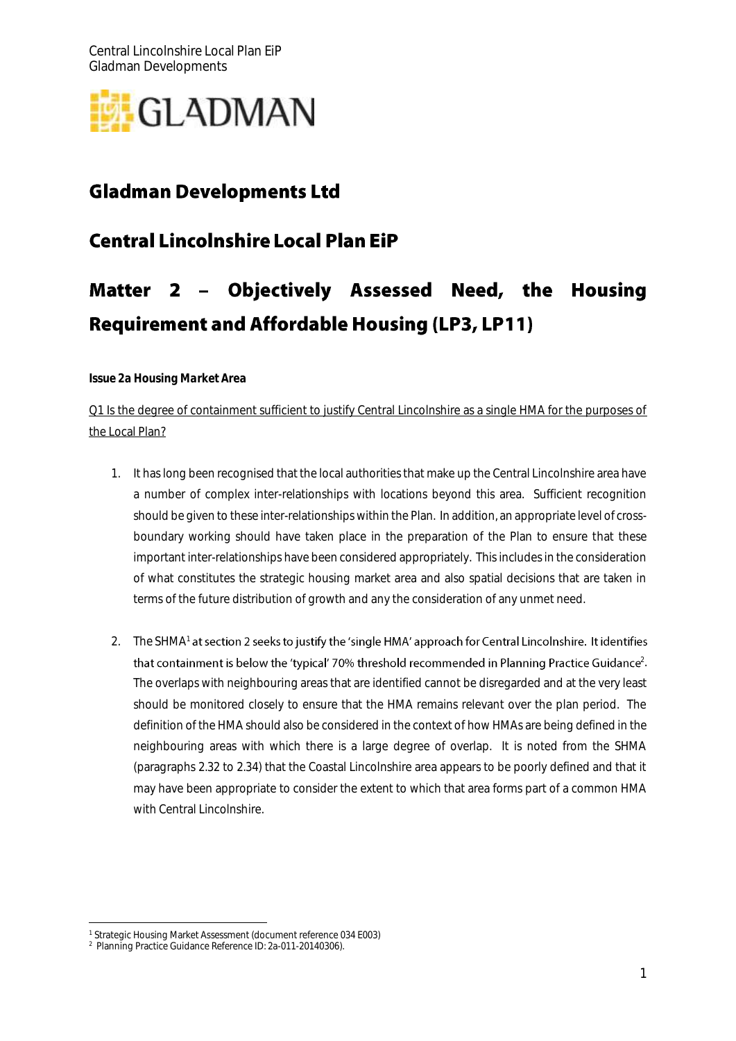

# **Gladman Developments Ltd**

# **Central Lincolnshire Local Plan EiP**

# 2 - Objectively Assessed Need, the Housing Matter **Requirement and Affordable Housing (LP3, LP11)**

*Issue 2a Housing Market Area*

Q1 Is the degree of containment sufficient to justify Central Lincolnshire as a single HMA for the purposes of the Local Plan?

- 1. It has long been recognised that the local authorities that make up the Central Lincolnshire area have a number of complex inter-relationships with locations beyond this area. Sufficient recognition should be given to these inter-relationships within the Plan. In addition, an appropriate level of crossboundary working should have taken place in the preparation of the Plan to ensure that these important inter-relationships have been considered appropriately. This includes in the consideration of what constitutes the strategic housing market area and also spatial decisions that are taken in terms of the future distribution of growth and any the consideration of any unmet need.
- 2. The SHMA<sup>1</sup> at section 2 seeks to justify the 'single HMA' approach for Central Lincolnshire. It identifies  $^{2}$ . The overlaps with neighbouring areas that are identified cannot be disregarded and at the very least should be monitored closely to ensure that the HMA remains relevant over the plan period. The definition of the HMA should also be considered in the context of how HMAs are being defined in the neighbouring areas with which there is a large degree of overlap. It is noted from the SHMA (paragraphs 2.32 to 2.34) that the Coastal Lincolnshire area appears to be poorly defined and that it may have been appropriate to consider the extent to which that area forms part of a common HMA with Central Lincolnshire.

<sup>-</sup><sup>1</sup> Strategic Housing Market Assessment (document reference 034 E003)

<sup>2</sup> Planning Practice Guidance Reference ID: 2a-011-20140306).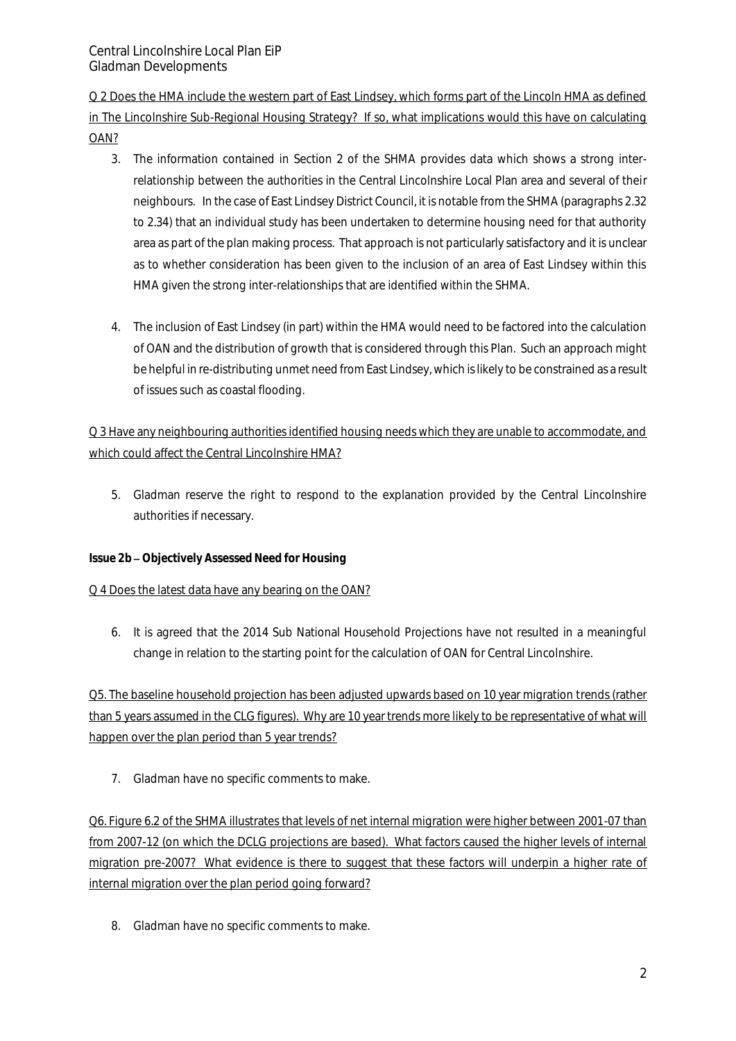Q 2 Does the HMA include the western part of East Lindsey, which forms part of the Lincoln HMA as defined in The Lincolnshire Sub-Regional Housing Strategy? If so, what implications would this have on calculating OAN?

- 3. The information contained in Section 2 of the SHMA provides data which shows a strong interrelationship between the authorities in the Central Lincolnshire Local Plan area and several of their neighbours. In the case of East Lindsey District Council, it is notable from the SHMA (paragraphs 2.32 to 2.34) that an individual study has been undertaken to determine housing need for that authority area as part of the plan making process. That approach is not particularly satisfactory and it is unclear as to whether consideration has been given to the inclusion of an area of East Lindsey within this HMA given the strong inter-relationships that are identified within the SHMA.
- 4. The inclusion of East Lindsey (in part) within the HMA would need to be factored into the calculation of OAN and the distribution of growth that is considered through this Plan. Such an approach might be helpful in re-distributing unmet need from East Lindsey, which is likely to be constrained as a result of issues such as coastal flooding.

Q 3 Have any neighbouring authorities identified housing needs which they are unable to accommodate, and which could affect the Central Lincolnshire HMA?

5. Gladman reserve the right to respond to the explanation provided by the Central Lincolnshire authorities if necessary.

## *Issue 2b Objectively Assessed Need for Housing*

## Q 4 Does the latest data have any bearing on the OAN?

6. It is agreed that the 2014 Sub National Household Projections have not resulted in a meaningful change in relation to the starting point for the calculation of OAN for Central Lincolnshire.

Q5. The baseline household projection has been adjusted upwards based on 10 year migration trends (rather than 5 years assumed in the CLG figures). Why are 10 year trends more likely to be representative of what will happen over the plan period than 5 year trends?

7. Gladman have no specific comments to make.

Q6. Figure 6.2 of the SHMA illustrates that levels of net internal migration were higher between 2001-07 than from 2007-12 (on which the DCLG projections are based). What factors caused the higher levels of internal migration pre-2007? What evidence is there to suggest that these factors will underpin a higher rate of internal migration over the plan period going forward?

8. Gladman have no specific comments to make.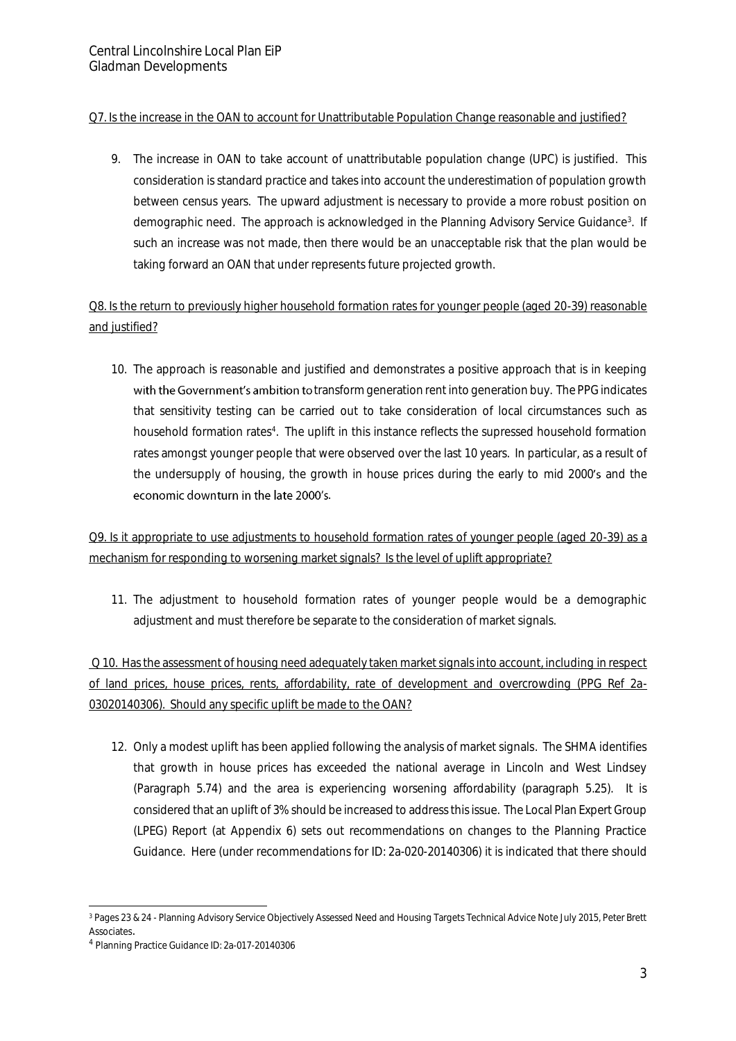#### Q7. Is the increase in the OAN to account for Unattributable Population Change reasonable and justified?

9. The increase in OAN to take account of unattributable population change (UPC) is justified. This consideration is standard practice and takes into account the underestimation of population growth between census years. The upward adjustment is necessary to provide a more robust position on demographic need. The approach is acknowledged in the Planning Advisory Service Guidance<sup>3</sup>. If such an increase was not made, then there would be an unacceptable risk that the plan would be taking forward an OAN that under represents future projected growth.

# Q8. Is the return to previously higher household formation rates for younger people (aged 20-39) reasonable and justified?

10. The approach is reasonable and justified and demonstrates a positive approach that is in keeping with the Government's ambition to transform generation rent into generation buy. The PPG indicates that sensitivity testing can be carried out to take consideration of local circumstances such as household formation rates<sup>4</sup>. The uplift in this instance reflects the supressed household formation rates amongst younger people that were observed over the last 10 years. In particular, as a result of the undersupply of housing, the growth in house prices during the early to mid 2000's and the economic downturn in the late 2000's.

Q9. Is it appropriate to use adjustments to household formation rates of younger people (aged 20-39) as a mechanism for responding to worsening market signals? Is the level of uplift appropriate?

11. The adjustment to household formation rates of younger people would be a demographic adjustment and must therefore be separate to the consideration of market signals.

Q 10. Has the assessment of housing need adequately taken market signals into account, including in respect of land prices, house prices, rents, affordability, rate of development and overcrowding (PPG Ref 2a-03020140306). Should any specific uplift be made to the OAN?

12. Only a modest uplift has been applied following the analysis of market signals. The SHMA identifies that growth in house prices has exceeded the national average in Lincoln and West Lindsey (Paragraph 5.74) and the area is experiencing worsening affordability (paragraph 5.25). It is considered that an uplift of 3% should be increased to address this issue. The Local Plan Expert Group (LPEG) Report (at Appendix 6) sets out recommendations on changes to the Planning Practice Guidance. Here (under recommendations for ID: 2a-020-20140306) it is indicated that there should

<sup>-</sup><sup>3</sup> Pages 23 & 24 - Planning Advisory Service Objectively Assessed Need and Housing Targets Technical Advice Note July 2015, Peter Brett **Associates** 

<sup>4</sup> Planning Practice Guidance ID: 2a-017-20140306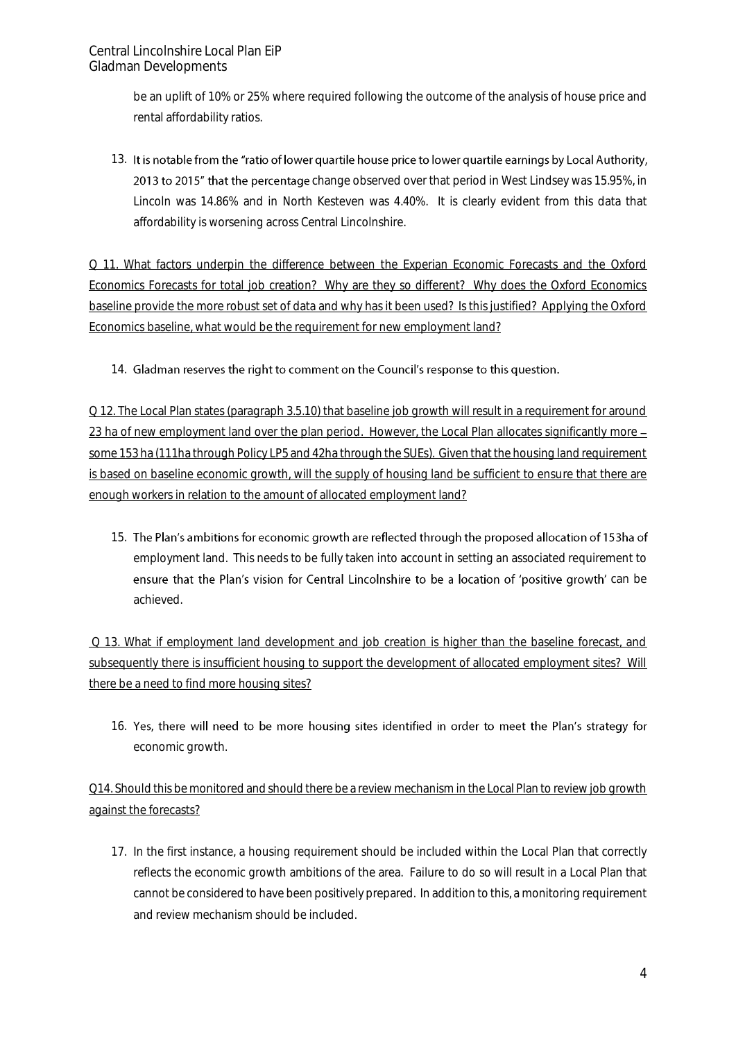be an uplift of 10% or 25% where required following the outcome of the analysis of house price and rental affordability ratios.

13. It is notable from the "ratio of lower quartile house price to lower quartile earnings by Local Authority. 2013 to 2015" that the percentage change observed over that period in West Lindsey was 15.95%, in Lincoln was 14.86% and in North Kesteven was 4.40%. It is clearly evident from this data that affordability is worsening across Central Lincolnshire.

Q 11. What factors underpin the difference between the Experian Economic Forecasts and the Oxford Economics Forecasts for total job creation? Why are they so different? Why does the Oxford Economics baseline provide the more robust set of data and why has it been used? Is this justified? Applying the Oxford Economics baseline, what would be the requirement for new employment land?

14. Gladman reserves the right to comment on the Council's response to this question.

Q 12. The Local Plan states (paragraph 3.5.10) that baseline job growth will result in a requirement for around 23 ha of new employment land over the plan period. However, the Local Plan allocates significantly more – some 153 ha (111ha through Policy LP5 and 42ha through the SUEs). Given that the housing land requirement is based on baseline economic growth, will the supply of housing land be sufficient to ensure that there are enough workers in relation to the amount of allocated employment land?

15. The Plan's ambitions for economic growth are reflected through the proposed allocation of 153ha of employment land. This needs to be fully taken into account in setting an associated requirement to ensure that the Plan's vision for Central Lincolnshire to be a location of 'positive growth' can be achieved.

Q 13. What if employment land development and job creation is higher than the baseline forecast, and subsequently there is insufficient housing to support the development of allocated employment sites? Will there be a need to find more housing sites?

16. Yes, there will need to be more housing sites identified in order to meet the Plan's strategy for economic growth.

Q14. Should this be monitored and should there be a review mechanism in the Local Plan to review job growth against the forecasts?

17. In the first instance, a housing requirement should be included within the Local Plan that correctly reflects the economic growth ambitions of the area. Failure to do so will result in a Local Plan that cannot be considered to have been positively prepared. In addition to this, a monitoring requirement and review mechanism should be included.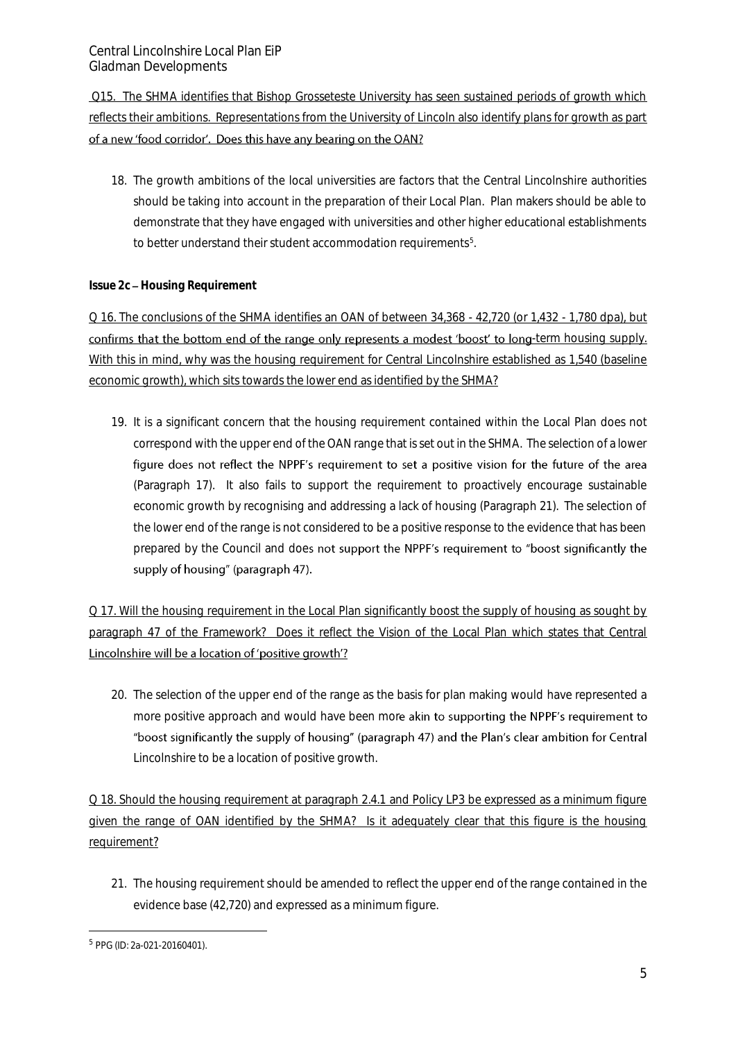Q15. The SHMA identifies that Bishop Grosseteste University has seen sustained periods of growth which reflects their ambitions. Representations from the University of Lincoln also identify plans for growth as part of a new 'food corridor'. Does this have any bearing on the OAN?

18. The growth ambitions of the local universities are factors that the Central Lincolnshire authorities should be taking into account in the preparation of their Local Plan. Plan makers should be able to demonstrate that they have engaged with universities and other higher educational establishments to better understand their student accommodation requirements<sup>5</sup>.

#### *Issue 2c Housing Requirement*

Q 16. The conclusions of the SHMA identifies an OAN of between 34,368 - 42,720 (or 1,432 - 1,780 dpa), but confirms that the bottom end of the range only represents a modest 'boost' to long-term housing supply. With this in mind, why was the housing requirement for Central Lincolnshire established as 1,540 (baseline economic growth), which sits towards the lower end as identified by the SHMA?

19. It is a significant concern that the housing requirement contained within the Local Plan does not correspond with the upper end of the OAN range that is set out in the SHMA. The selection of a lower figure does not reflect the NPPF's requirement to set a positive vision for the future of the area (Paragraph 17). It also fails to support the requirement to proactively encourage sustainable economic growth by recognising and addressing a lack of housing (Paragraph 21). The selection of the lower end of the range is not considered to be a positive response to the evidence that has been prepared by the Council and does not support the NPPF's requirement to "boost significantly the supply of housing" (paragraph 47).

Q 17. Will the housing requirement in the Local Plan significantly boost the supply of housing as sought by paragraph 47 of the Framework? Does it reflect the Vision of the Local Plan which states that Central Lincolnshire will be a location of 'positive growth'?

20. The selection of the upper end of the range as the basis for plan making would have represented a more positive approach and would have been more akin to supporting the NPPF's requirement to "boost significantly the supply of housing" (paragraph 47) and the Plan's clear ambition for Central Lincolnshire to be a location of positive growth.

Q 18. Should the housing requirement at paragraph 2.4.1 and Policy LP3 be expressed as a minimum figure given the range of OAN identified by the SHMA? Is it adequately clear that this figure is the housing requirement?

21. The housing requirement should be amended to reflect the upper end of the range contained in the evidence base (42,720) and expressed as a minimum figure.

<sup>-</sup>5 PPG (ID: 2a-021-20160401).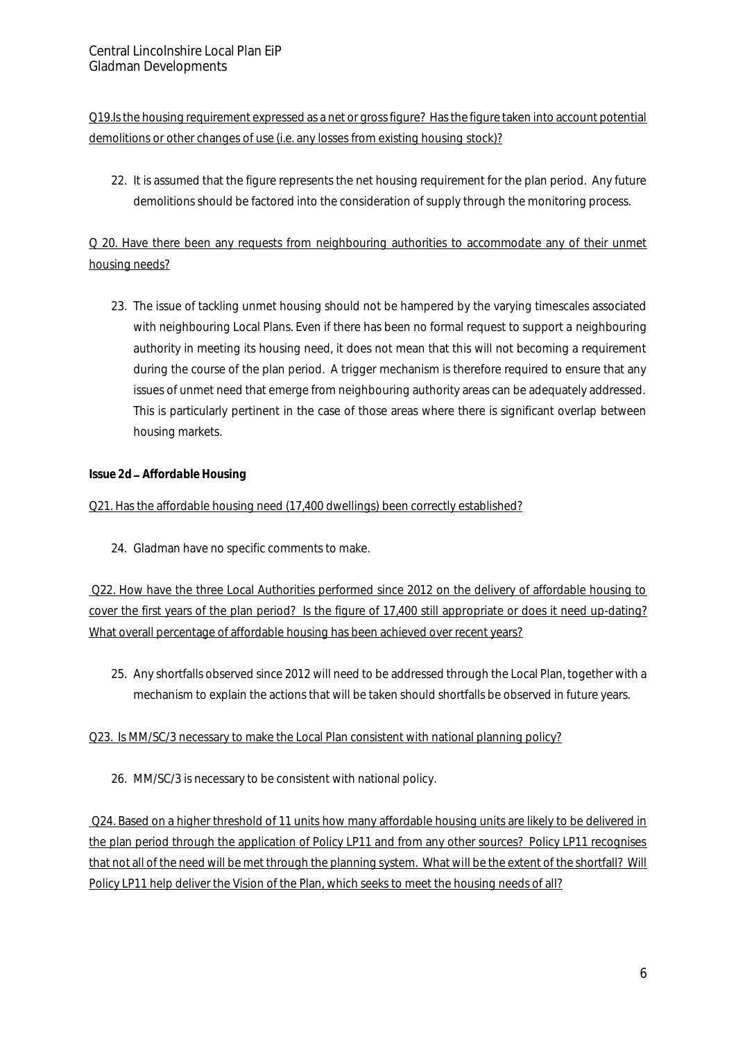Q19.Is the housing requirement expressed as a net or gross figure? Has the figure taken into account potential demolitions or other changes of use (i.e. any losses from existing housing stock)?

22. It is assumed that the figure represents the net housing requirement for the plan period. Any future demolitions should be factored into the consideration of supply through the monitoring process.

# Q 20. Have there been any requests from neighbouring authorities to accommodate any of their unmet housing needs?

23. The issue of tackling unmet housing should not be hampered by the varying timescales associated with neighbouring Local Plans. Even if there has been no formal request to support a neighbouring authority in meeting its housing need, it does not mean that this will not becoming a requirement during the course of the plan period. A trigger mechanism is therefore required to ensure that any issues of unmet need that emerge from neighbouring authority areas can be adequately addressed. This is particularly pertinent in the case of those areas where there is significant overlap between housing markets.

## *Issue 2d Affordable Housing*

## Q21. Has the affordable housing need (17,400 dwellings) been correctly established?

24. Gladman have no specific comments to make.

Q22. How have the three Local Authorities performed since 2012 on the delivery of affordable housing to cover the first years of the plan period? Is the figure of 17,400 still appropriate or does it need up-dating? What overall percentage of affordable housing has been achieved over recent years?

25. Any shortfalls observed since 2012 will need to be addressed through the Local Plan, together with a mechanism to explain the actions that will be taken should shortfalls be observed in future years.

## Q23. Is MM/SC/3 necessary to make the Local Plan consistent with national planning policy?

26. MM/SC/3 is necessary to be consistent with national policy.

Q24. Based on a higher threshold of 11 units how many affordable housing units are likely to be delivered in the plan period through the application of Policy LP11 and from any other sources? Policy LP11 recognises that not all of the need will be met through the planning system. What will be the extent of the shortfall? Will Policy LP11 help deliver the Vision of the Plan, which seeks to meet the housing needs of all?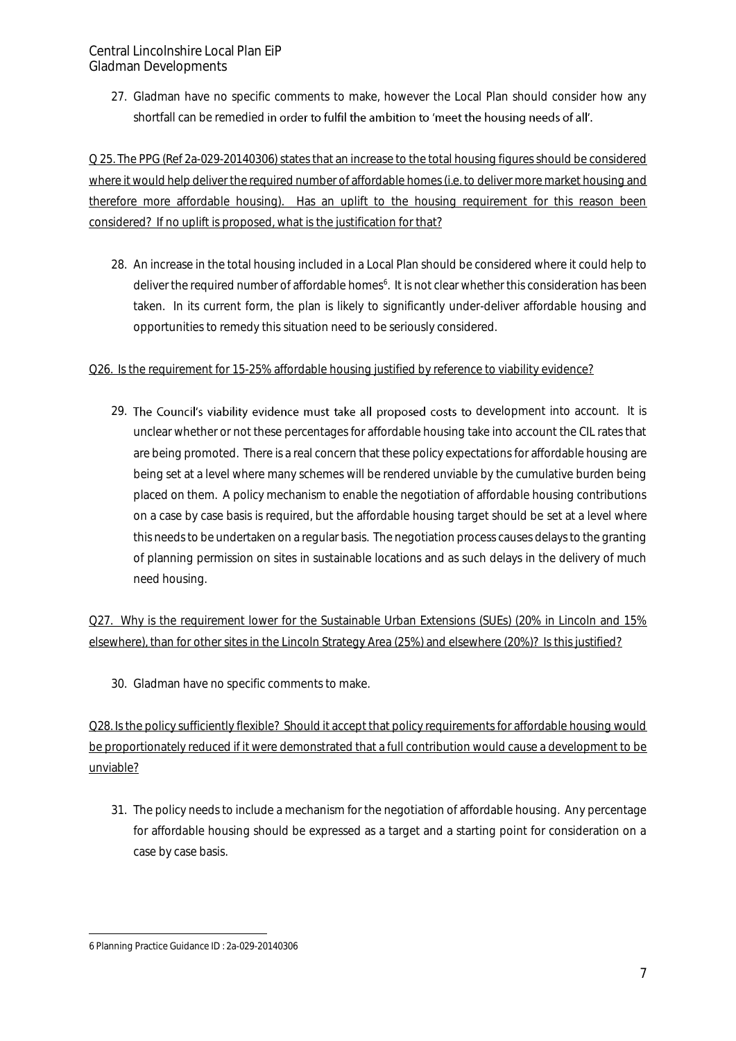Central Lincolnshire Local Plan EiP Gladman Developments

> 27. Gladman have no specific comments to make, however the Local Plan should consider how any shortfall can be remedied in order to fulfil the ambition to 'meet the housing needs of all'.

Q 25. The PPG (Ref 2a-029-20140306) states that an increase to the total housing figures should be considered where it would help deliver the required number of affordable homes (i.e. to deliver more market housing and therefore more affordable housing). Has an uplift to the housing requirement for this reason been considered? If no uplift is proposed, what is the justification for that?

28. An increase in the total housing included in a Local Plan should be considered where it could help to deliver the required number of affordable homes<sup>6</sup>. It is not clear whether this consideration has been taken. In its current form, the plan is likely to significantly under-deliver affordable housing and opportunities to remedy this situation need to be seriously considered.

#### Q26. Is the requirement for 15-25% affordable housing justified by reference to viability evidence?

29. The Council's viability evidence must take all proposed costs to development into account. It is unclear whether or not these percentages for affordable housing take into account the CIL rates that are being promoted. There is a real concern that these policy expectations for affordable housing are being set at a level where many schemes will be rendered unviable by the cumulative burden being placed on them. A policy mechanism to enable the negotiation of affordable housing contributions on a case by case basis is required, but the affordable housing target should be set at a level where this needs to be undertaken on a regular basis. The negotiation process causes delays to the granting of planning permission on sites in sustainable locations and as such delays in the delivery of much need housing.

Q27. Why is the requirement lower for the Sustainable Urban Extensions (SUEs) (20% in Lincoln and 15% elsewhere), than for other sites in the Lincoln Strategy Area (25%) and elsewhere (20%)? Is this justified?

30. Gladman have no specific comments to make.

Q28. Is the policy sufficiently flexible? Should it accept that policy requirements for affordable housing would be proportionately reduced if it were demonstrated that a full contribution would cause a development to be unviable?

31. The policy needs to include a mechanism for the negotiation of affordable housing. Any percentage for affordable housing should be expressed as a target and a starting point for consideration on a case by case basis.

<sup>-</sup>6 Planning Practice Guidance ID : 2a-029-20140306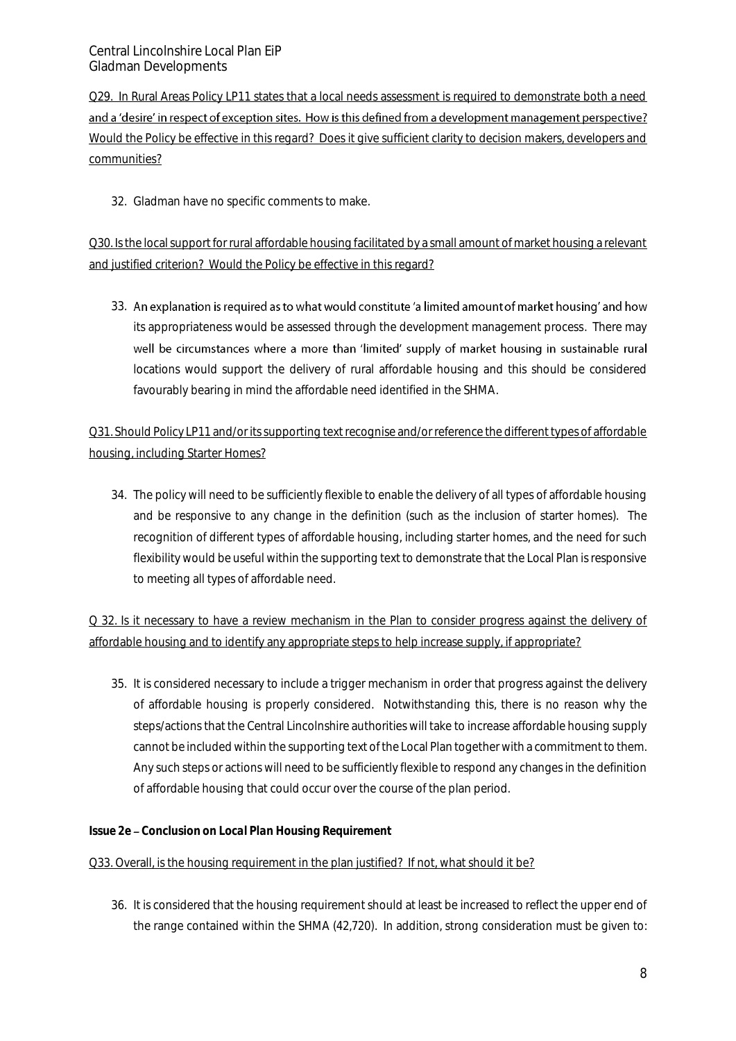Q29. In Rural Areas Policy LP11 states that a local needs assessment is required to demonstrate both a need and a 'desire' in respect of exception sites. How is this defined from a development management perspective? Would the Policy be effective in this regard? Does it give sufficient clarity to decision makers, developers and communities?

32. Gladman have no specific comments to make.

Q30. Is the local support for rural affordable housing facilitated by a small amount of market housing a relevant and justified criterion? Would the Policy be effective in this regard?

33. An explanation is required as to what would constitute 'a limited amount of market housing' and how its appropriateness would be assessed through the development management process. There may well be circumstances where a more than 'limited' supply of market housing in sustainable rural locations would support the delivery of rural affordable housing and this should be considered favourably bearing in mind the affordable need identified in the SHMA.

Q31. Should Policy LP11 and/or its supporting text recognise and/or reference the different types of affordable housing, including Starter Homes?

34. The policy will need to be sufficiently flexible to enable the delivery of all types of affordable housing and be responsive to any change in the definition (such as the inclusion of starter homes). The recognition of different types of affordable housing, including starter homes, and the need for such flexibility would be useful within the supporting text to demonstrate that the Local Plan is responsive to meeting all types of affordable need.

Q 32. Is it necessary to have a review mechanism in the Plan to consider progress against the delivery of affordable housing and to identify any appropriate steps to help increase supply, if appropriate?

35. It is considered necessary to include a trigger mechanism in order that progress against the delivery of affordable housing is properly considered. Notwithstanding this, there is no reason why the steps/actions that the Central Lincolnshire authorities will take to increase affordable housing supply cannot be included within the supporting text of the Local Plan together with a commitment to them. Any such steps or actions will need to be sufficiently flexible to respond any changes in the definition of affordable housing that could occur over the course of the plan period.

*Issue 2e Conclusion on Local Plan Housing Requirement* 

#### Q33. Overall, is the housing requirement in the plan justified? If not, what should it be?

36. It is considered that the housing requirement should at least be increased to reflect the upper end of the range contained within the SHMA (42,720). In addition, strong consideration must be given to: